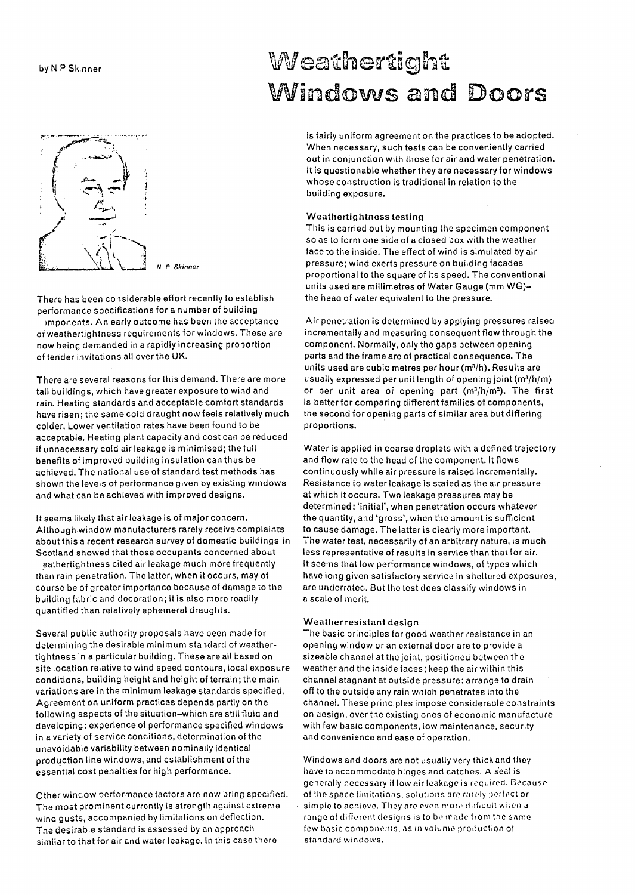

There has been considerable effort recently to establish performance specifications for a number of building

)mponents. An early outcome has been the acceptance OT weathertightness requirements for windows. These are now being demanded in a rapidly increasing proportion of tender invitations all over the UK.

There are several reasons for this demand. There are more tall buildings, which have greater exposure to wind and rain. Heating standards and acceptable comfort standards have risen; the same cold draught now feels relatively much colder. Lower ventilation rates have been found to be acceptable. Heating plant capacity and cost can be reduced if unnecessary cold air leakage is minimised; the full benefits of improved building insulation can thus be achieved. The national use of standard test methods has shown the levels of performance given by existing windows and what can be achieved with improved designs.

It seems likely that air leakage is of major concern. Althoughwindow manufacturers rarely receive complaints about this a recent research survey of domestic buildings in Scotland showed that those occupants concerned about

\9athertightness cited air leakage much more frequently than rain penetration. The latter, when it occurs, may of course be of greater importance because of damage to the building fabric and docoration; it is also more readily quantified than relatively ephemeral draughts.

Several public authority proposals have been made for determining the desirable minimum standard of weathertightness in a particular building. These are all based on site location relative to wind speed contours, local exposure conditions, building height and height of terrain; the main variations are in the minimum leakage standards specified. Agreement on uniform practices depends partly on the following aspects of the situation-which are still fluid and developing: experience of performance specified windows in a variety of service conditions, determination of the unavoidable variability between nominally identical production line windows, and establishment of the essential cost penalties for high performance.

Other window performance factors are now bring specified. The most prominent currently is strength against extreme wind gusts, accompanied by limitations on deflection. The desirable standard is assessed by an approach similar to that for air and water leakage. In this case there

# by N P Skinner Wecht Meathertight Windows and Doors

is fairly uniform agreement on the practices to be adopted. When necessary, such tests can be conveniently carried out in conjunction with those for air and water penetration. It is questionable whether they are necessary for windows whose construction is traditional in relation to the building exposure.

### Weathertightness testing

This is carried out by mounting the specimen component so as to form one side of a closed box with the weather face to the inside. The effect of wind is simulated by air pressure; wind exerts pressure on building facades proportional to the square of its speed. The conventional units used are millimetres of Water Gauge (mm WG) the head of water equivalent to the pressure.

Air penetration is determined by applying pressures raised incrementally and measuring consequent flow through the component. Normally, only the gaps between opening parts and the frame are of practical consequence. The units used are cubic metres per hour (m<sup>3</sup>/h). Results are usually expressed per unit length of opening joint (m<sup>3</sup>/h/m) or per unit area of opening part  $(m^3/h/m^2)$ . The first is better for comparing different families of components, the second for opening parts of similar area but differing proportions.

Water is applied in coarse droplets with a defined trajectory and flow rate to the head of the component. It flows continuously while air pressure is raised incrementally. Resistance to water leakage is stated as the air pressure at which it occurs. Two leakage pressures may be determined: 'initial'. when penetration occurs whatever the quantity, and 'gross', when the amount is sufficient to cause damage. The latter is clearly more important. The water test, necessarily of an arbitrary nature, is much less representative of results in service than that for air. It seems that low performance windows, of types which have long given satisfactory service in sheltored exposures, arc underraled. But lhe lest does classify windows in a scale of morit.

### Weather resistant design

The basic principles for good weather resistance in an opening window or an external door are to provide a sizeable channel at the joint, positioned between the weather and the inside faces; keep the air within this channel stagnant at outside pressure: arrange to drain off to the outside any rain whioh penetrates into the channel. These principles impose considerable constraints on design, over the existing ones of economic manufacture with few basic components, low maintenance, security and convenience and ease of operation.

Windows and doors are not usually very thick and they have to accommodate hinges and catches. A s'cal is generally necessary if low air leakage is required. Because of the space limitations, solutions are rarely perfect or simple to achieve. They are even more difficult when a range of different designs is to be made from the same few basic components, as in volume production of standard windows.